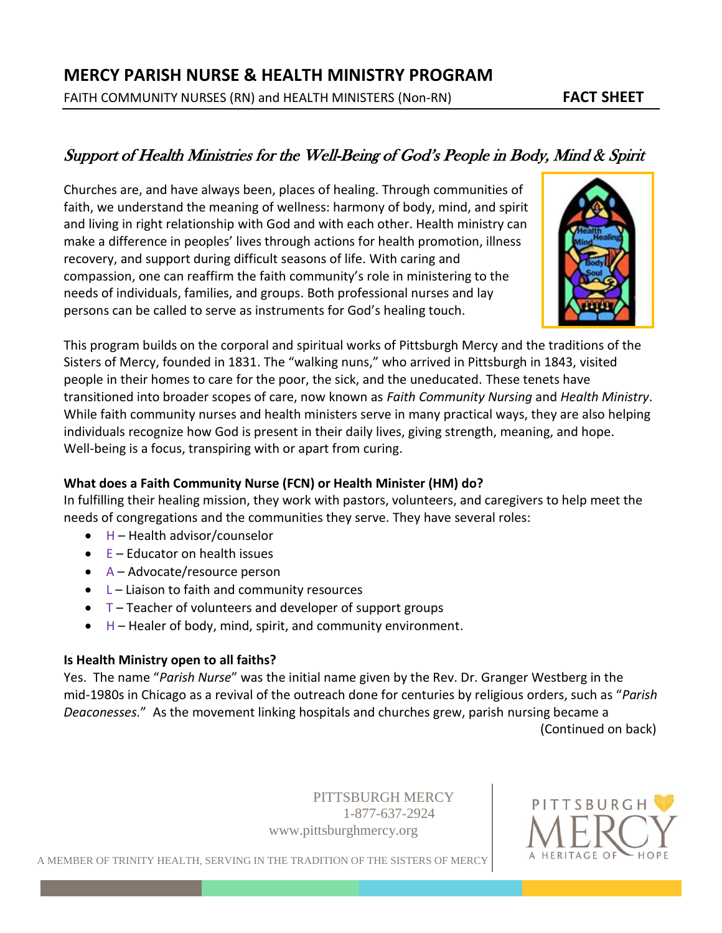# Support of Health Ministries for the Well-Being of God's People in Body, Mind & Spirit

Churches are, and have always been, places of healing. Through communities of faith, we understand the meaning of wellness: harmony of body, mind, and spirit and living in right relationship with God and with each other. Health ministry can make a difference in peoples' lives through actions for health promotion, illness recovery, and support during difficult seasons of life. With caring and compassion, one can reaffirm the faith community's role in ministering to the needs of individuals, families, and groups. Both professional nurses and lay persons can be called to serve as instruments for God's healing touch.



This program builds on the corporal and spiritual works of Pittsburgh Mercy and the traditions of the Sisters of Mercy, founded in 1831. The "walking nuns," who arrived in Pittsburgh in 1843, visited people in their homes to care for the poor, the sick, and the uneducated. These tenets have transitioned into broader scopes of care, now known as *Faith Community Nursing* and *Health Ministry*. While faith community nurses and health ministers serve in many practical ways, they are also helping individuals recognize how God is present in their daily lives, giving strength, meaning, and hope. Well-being is a focus, transpiring with or apart from curing.

# **What does a Faith Community Nurse (FCN) or Health Minister (HM) do?**

In fulfilling their healing mission, they work with pastors, volunteers, and caregivers to help meet the needs of congregations and the communities they serve. They have several roles:

- $H$  Health advisor/counselor
- $\bullet$   $E -$  Educator on health issues
- A Advocate/resource person
- $\bullet$  L Liaison to faith and community resources
- $\bullet$  T Teacher of volunteers and developer of support groups
- $\bullet$  H Healer of body, mind, spirit, and community environment.

### **Is Health Ministry open to all faiths?**

Yes. The name "*Parish Nurse*" was the initial name given by the Rev. Dr. Granger Westberg in the mid-1980s in Chicago as a revival of the outreach done for centuries by religious orders, such as "*Parish Deaconesses.*" As the movement linking hospitals and churches grew, parish nursing became a (Continued on back)

> PITTSBURGH MERCY 1-877-637-2924 [www.pittsburghmercy.org](http://www.pittsburghmercy.org/)



A MEMBER OF TRINITY HEALTH, SERVING IN THE TRADITION OF THE SISTERS OF MERCY